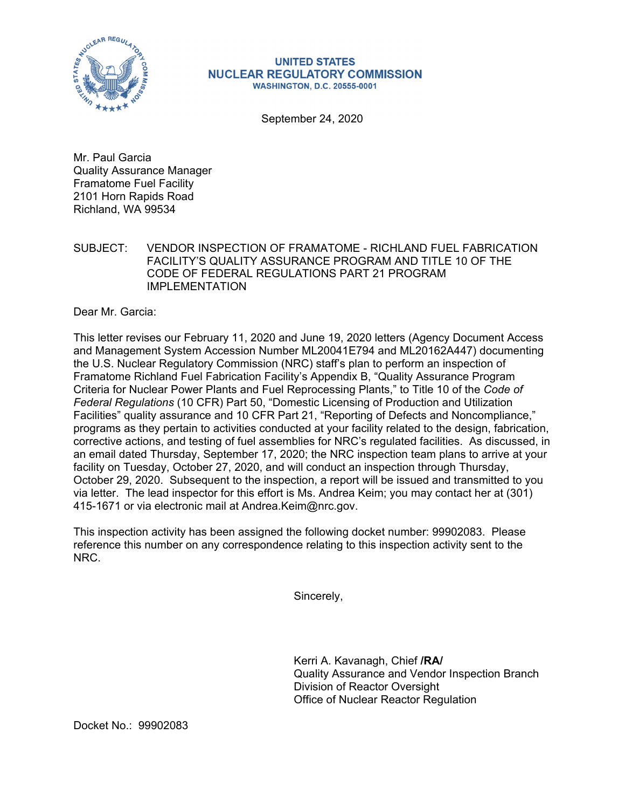

## **UNITED STATES NUCLEAR REGULATORY COMMISSION WASHINGTON, D.C. 20555-0001**

September 24, 2020

Mr. Paul Garcia Quality Assurance Manager Framatome Fuel Facility 2101 Horn Rapids Road Richland, WA 99534

SUBJECT: VENDOR INSPECTION OF FRAMATOME - RICHLAND FUEL FABRICATION FACILITY'S QUALITY ASSURANCE PROGRAM AND TITLE 10 OF THE CODE OF FEDERAL REGULATIONS PART 21 PROGRAM IMPI FMFNTATION

Dear Mr. Garcia:

This letter revises our February 11, 2020 and June 19, 2020 letters (Agency Document Access and Management System Accession Number ML20041E794 and ML20162A447) documenting the U.S. Nuclear Regulatory Commission (NRC) staff's plan to perform an inspection of Framatome Richland Fuel Fabrication Facility's Appendix B, "Quality Assurance Program Criteria for Nuclear Power Plants and Fuel Reprocessing Plants," to Title 10 of the *Code of Federal Regulations* (10 CFR) Part 50, "Domestic Licensing of Production and Utilization Facilities" quality assurance and 10 CFR Part 21, "Reporting of Defects and Noncompliance," programs as they pertain to activities conducted at your facility related to the design, fabrication, corrective actions, and testing of fuel assemblies for NRC's regulated facilities. As discussed, in an email dated Thursday, September 17, 2020; the NRC inspection team plans to arrive at your facility on Tuesday, October 27, 2020, and will conduct an inspection through Thursday, October 29, 2020. Subsequent to the inspection, a report will be issued and transmitted to you via letter. The lead inspector for this effort is Ms. Andrea Keim; you may contact her at (301) 415-1671 or via electronic mail at Andrea.Keim@nrc.gov.

This inspection activity has been assigned the following docket number: 99902083. Please reference this number on any correspondence relating to this inspection activity sent to the NRC.

Sincerely,

Kerri A. Kavanagh, Chief **/RA/**  Quality Assurance and Vendor Inspection Branch Division of Reactor Oversight Office of Nuclear Reactor Regulation

Docket No.: 99902083